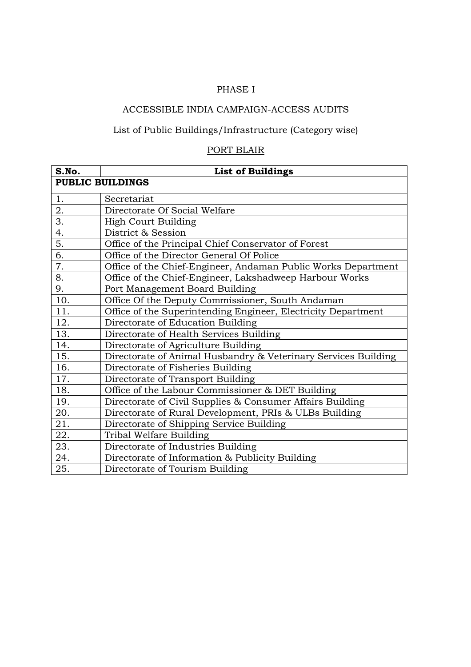## PHASE I

## ACCESSIBLE INDIA CAMPAIGN-ACCESS AUDITS

# List of Public Buildings/Infrastructure (Category wise)

#### PORT BLAIR

| S.No.                   | <b>List of Buildings</b>                                       |  |
|-------------------------|----------------------------------------------------------------|--|
| <b>PUBLIC BUILDINGS</b> |                                                                |  |
| 1.                      | Secretariat                                                    |  |
| 2.                      | Directorate Of Social Welfare                                  |  |
| $\overline{3}$ .        | <b>High Court Building</b>                                     |  |
| 4.                      | District & Session                                             |  |
| 5.                      | Office of the Principal Chief Conservator of Forest            |  |
| 6.                      | Office of the Director General Of Police                       |  |
| 7.                      | Office of the Chief-Engineer, Andaman Public Works Department  |  |
| 8.                      | Office of the Chief-Engineer, Lakshadweep Harbour Works        |  |
| 9.                      | Port Management Board Building                                 |  |
| 10.                     | Office Of the Deputy Commissioner, South Andaman               |  |
| 11.                     | Office of the Superintending Engineer, Electricity Department  |  |
| 12.                     | Directorate of Education Building                              |  |
| 13.                     | Directorate of Health Services Building                        |  |
| 14.                     | Directorate of Agriculture Building                            |  |
| 15.                     | Directorate of Animal Husbandry & Veterinary Services Building |  |
| 16.                     | Directorate of Fisheries Building                              |  |
| 17.                     | Directorate of Transport Building                              |  |
| 18.                     | Office of the Labour Commissioner & DET Building               |  |
| 19.                     | Directorate of Civil Supplies & Consumer Affairs Building      |  |
| 20.                     | Directorate of Rural Development, PRIs & ULBs Building         |  |
| 21.                     | Directorate of Shipping Service Building                       |  |
| 22.                     | Tribal Welfare Building                                        |  |
| 23.                     | Directorate of Industries Building                             |  |
| 24.                     | Directorate of Information & Publicity Building                |  |
| 25.                     | Directorate of Tourism Building                                |  |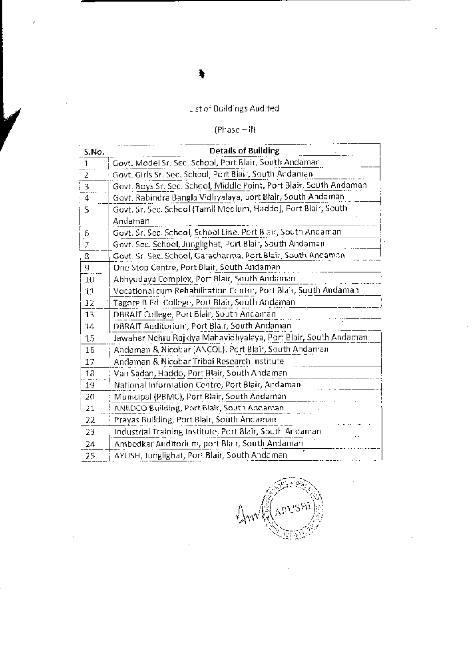## List of Buildings Audited

# $(Phase - 1)$

| 5.No.          | <b>Details of Building</b>                                          |
|----------------|---------------------------------------------------------------------|
| 1              | Govt. Model Sr. Sec. School, Port Blair, South Andaman              |
| 2              | Govt. Girls Sr. Sec. School, Port Biair, South Andaman              |
| 3              | Govt. Boys Sr. Sec. School, Middle Point, Port Blair, South Andaman |
| 4              | Govt, Rabindra Bangla Vidhyalaya, port Blair, South Andaman         |
| 5              | Govt. Sr. Sec. School (Tamil Medium, Haddo), Port Blair, South      |
|                | Andaman                                                             |
| 6              | Govt. Sr. Sec. School, School Line, Port Blair, South Andaman       |
| 7              | Govt. Sec. School, Junglighat, Port Blair, South Andaman            |
| 3              | Govt, Sr. Sec. School, Garacharma, Port Blair, South Andaman        |
| 9              | One Stop Centre, Port Blair, South Andaman                          |
| 10             | Abhyudaya Complex, Port Blair, South Andaman                        |
| $\mathfrak{t}$ | Vocational cum Rehabilitation Centre, Port Blair, South Andaman     |
| 12             | Tagore B.Ed. College, Port Blair, South Andaman                     |
| 13             | DBRAIT College, Port Biair, South Andaman                           |
| 14             | DBRAIT Auditorium, Port Blair, South Andaman                        |
| 15             | Jawahar Nehru Rajkiya Mahavidhyalaya, Port Blair, South Andaman     |
| 16             | Andaman & Nicobar (ANCOL), Port Blair, South Andaman                |
| 17             | Andaman & Nicobar Tribal Research Institute                         |
| 18             | Van Sadan, Haddo, Port Blair, South Andaman                         |
| 19             | National Information Centre, Port Blair, Andaman                    |
| 20             | Municipal (PBMC), Port Blair, South Andaman                         |
| 21             | ANIIDCO Building, Port Blair, South Andaman                         |
| 22             | Prayas Building, Port Blair, South Andaman                          |
| 23             | Industrial Training Institute, Port Blair, South Andaman            |
| 24             | Ambedkar Auditorium, port Blair, South Andaman                      |
| 25             | AYUSH, Junglighat, Port Blair, South Andaman                        |

gyssi